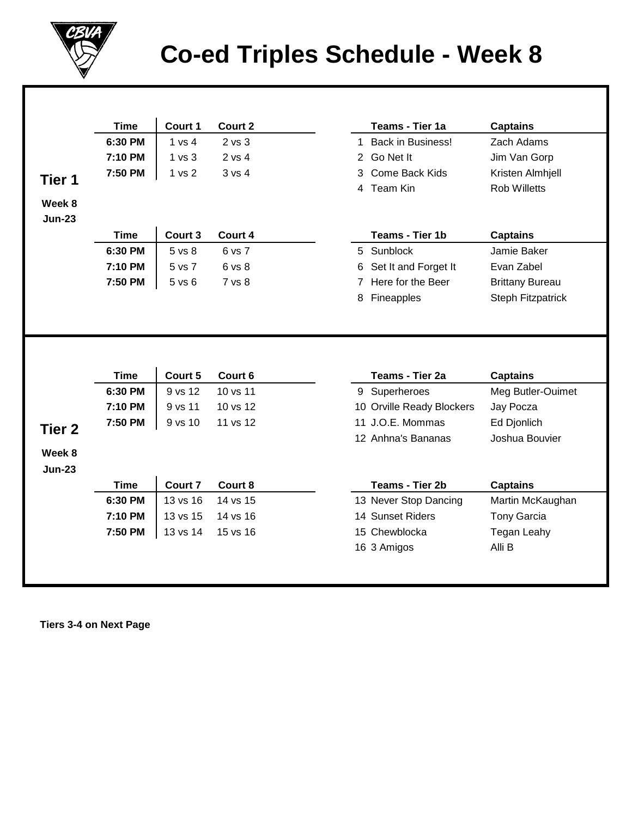

## **Co-ed Triples Schedule - Week 8**

|                                              | <b>Time</b> | Court 1    | Court 2  |   | Teams - Tier 1a               | <b>Captains</b>                             |
|----------------------------------------------|-------------|------------|----------|---|-------------------------------|---------------------------------------------|
|                                              | 6:30 PM     | 1 vs 4     | 2 vs 3   |   | 1 Back in Business!           | Zach Adams                                  |
|                                              | 7:10 PM     | 1 vs 3     | 2 vs 4   | 2 | Go Net It                     | Jim Van Gorp                                |
| Tier 1                                       | 7:50 PM     | 1 vs 2     | 3 vs 4   | 3 | Come Back Kids                | Kristen Almhjell                            |
|                                              |             |            |          |   | 4 Team Kin                    | <b>Rob Willetts</b>                         |
| Week 8                                       |             |            |          |   |                               |                                             |
| <b>Jun-23</b>                                |             |            |          |   |                               |                                             |
|                                              | <b>Time</b> | Court 3    | Court 4  |   | Teams - Tier 1b               | <b>Captains</b>                             |
|                                              | 6:30 PM     | 5 vs 8     | 6 vs 7   | 5 | Sunblock                      | Jamie Baker                                 |
|                                              | 7:10 PM     | 5 vs 7     | 6 vs 8   | 6 | Set It and Forget It          | Evan Zabel                                  |
|                                              | 7:50 PM     | $5$ vs $6$ | 7 vs 8   | 7 | Here for the Beer             | <b>Brittany Bureau</b>                      |
|                                              |             |            |          |   |                               |                                             |
|                                              | <b>Time</b> | Court 5    | Court 6  | 8 | Fineapples<br>Teams - Tier 2a | <b>Steph Fitzpatrick</b><br><b>Captains</b> |
|                                              |             |            |          |   |                               |                                             |
|                                              |             |            |          |   |                               |                                             |
|                                              | 6:30 PM     | 9 vs 12    | 10 vs 11 |   | 9 Superheroes                 | Meg Butler-Ouimet                           |
|                                              | 7:10 PM     | 9 vs 11    | 10 vs 12 |   | 10 Orville Ready Blockers     | Jay Pocza                                   |
|                                              | 7:50 PM     | 9 vs 10    | 11 vs 12 |   | 11 J.O.E. Mommas              | Ed Djonlich                                 |
|                                              |             |            |          |   | 12 Anhna's Bananas            | Joshua Bouvier                              |
|                                              |             |            |          |   |                               |                                             |
|                                              |             |            |          |   |                               |                                             |
|                                              | <b>Time</b> | Court 7    | Court 8  |   | Teams - Tier 2b               | <b>Captains</b>                             |
|                                              | 6:30 PM     | 13 vs 16   | 14 vs 15 |   | 13 Never Stop Dancing         | Martin McKaughan                            |
|                                              | 7:10 PM     | 13 vs 15   | 14 vs 16 |   | 14 Sunset Riders              | <b>Tony Garcia</b>                          |
| Tier <sub>2</sub><br>Week 8<br><b>Jun-23</b> | 7:50 PM     | 13 vs 14   | 15 vs 16 |   | 15 Chewblocka<br>16 3 Amigos  | Tegan Leahy<br>Alli B                       |

 **Tiers 3-4 on Next Page**